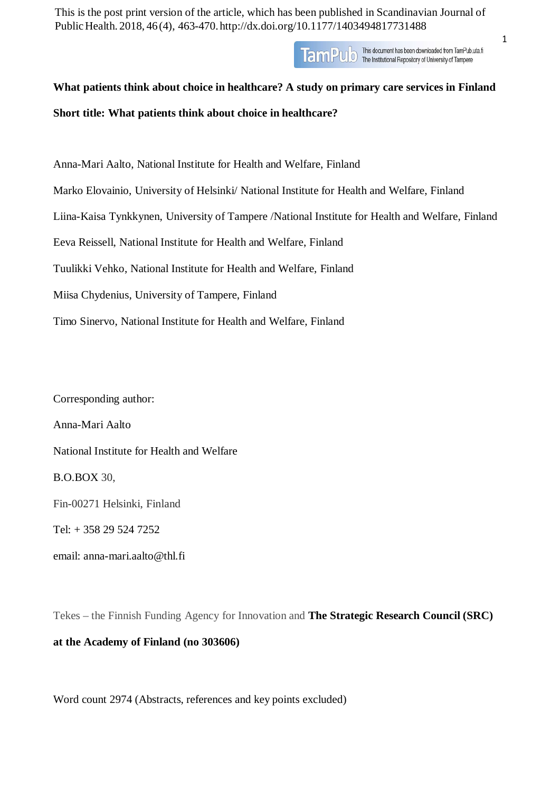This is the post print version of the article, which has been published in Scandinavian Journal of PublicHealth. 2018, 46(4), 463-470. <http://dx.doi.org/10.1177/1403494817731488>

> This document has been downloaded from TamPub.uta.fi TamPulo This document has been downloaded from TamPub.<br>The Institutional Repository of University of Tampere

# **What patients think about choice in healthcare? A study on primary care services in Finland**

**Short title: What patients think about choice in healthcare?**

Anna-Mari Aalto, National Institute for Health and Welfare, Finland Marko Elovainio, University of Helsinki/ National Institute for Health and Welfare, Finland Liina-Kaisa Tynkkynen, University of Tampere /National Institute for Health and Welfare, Finland Eeva Reissell, National Institute for Health and Welfare, Finland Tuulikki Vehko, National Institute for Health and Welfare, Finland Miisa Chydenius, University of Tampere, Finland Timo Sinervo, National Institute for Health and Welfare, Finland

Corresponding author: Anna-Mari Aalto National Institute for Health and Welfare B.O.BOX 30, Fin-00271 Helsinki, Finland Tel: + 358 29 524 7252 email: [anna-mari.aalto@thl.fi](mailto:anna-mari.aalto@thl.fi)

Tekes – the Finnish Funding Agency for Innovation and **The Strategic Research Council (SRC)**

## **at the Academy of Finland (no 303606)**

Word count 2974 (Abstracts, references and key points excluded)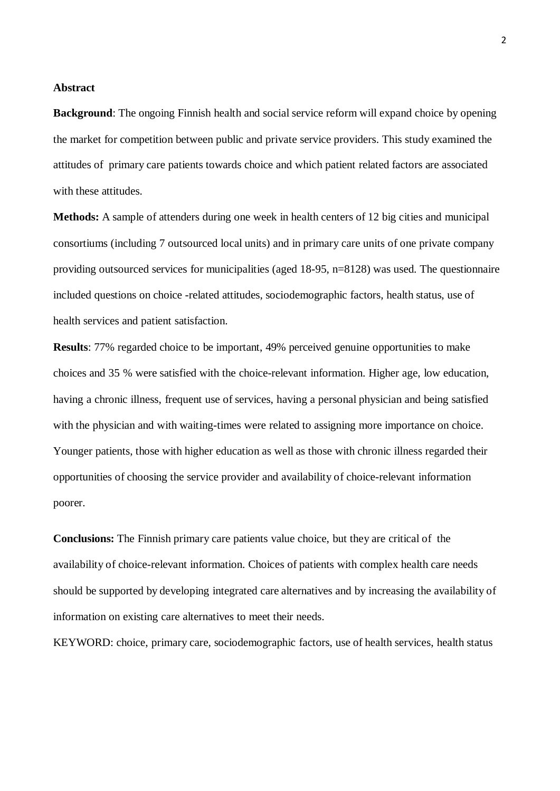### **Abstract**

**Background**: The ongoing Finnish health and social service reform will expand choice by opening the market for competition between public and private service providers. This study examined the attitudes of primary care patients towards choice and which patient related factors are associated with these attitudes.

**Methods:** A sample of attenders during one week in health centers of 12 big cities and municipal consortiums (including 7 outsourced local units) and in primary care units of one private company providing outsourced services for municipalities (aged 18-95, n=8128) was used. The questionnaire included questions on choice -related attitudes, sociodemographic factors, health status, use of health services and patient satisfaction.

**Results**: 77% regarded choice to be important, 49% perceived genuine opportunities to make choices and 35 % were satisfied with the choice-relevant information. Higher age, low education, having a chronic illness, frequent use of services, having a personal physician and being satisfied with the physician and with waiting-times were related to assigning more importance on choice. Younger patients, those with higher education as well as those with chronic illness regarded their opportunities of choosing the service provider and availability of choice-relevant information poorer.

**Conclusions:** The Finnish primary care patients value choice, but they are critical of the availability of choice-relevant information. Choices of patients with complex health care needs should be supported by developing integrated care alternatives and by increasing the availability of information on existing care alternatives to meet their needs.

KEYWORD: choice, primary care, sociodemographic factors, use of health services, health status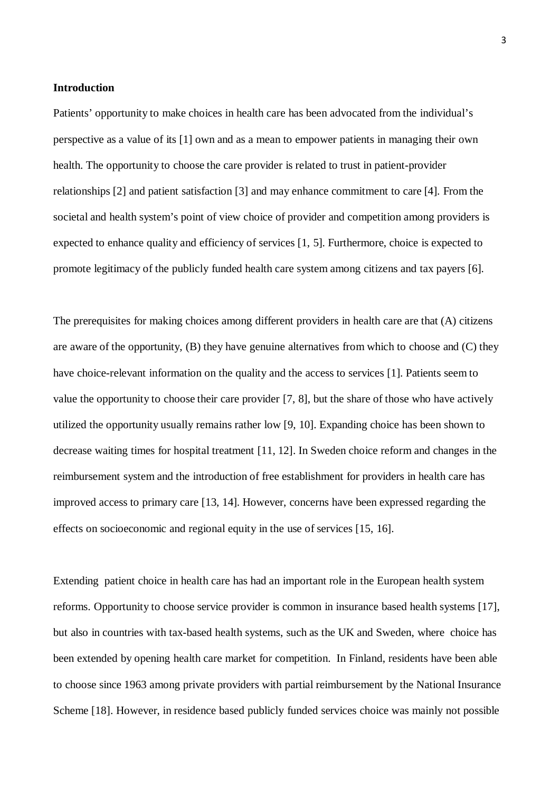### **Introduction**

Patients' opportunity to make choices in health care has been advocated from the individual's perspective as a value of its [\[1\]](#page-15-0) own and as a mean to empower patients in managing their own health. The opportunity to choose the care provider is related to trust in patient-provider relationships [\[2\]](#page-13-0) and patient satisfaction [\[3\]](#page-13-1) and may enhance commitment to care [\[4\].](#page-13-2) From the societal and health system's point of view choice of provider and competition among providers is expected to enhance quality and efficiency of services [\[1,](#page-15-0) [5\]](#page-13-3). Furthermore, choice is expected to promote legitimacy of the publicly funded health care system among citizens and tax payers [\[6\].](#page-13-4)

The prerequisites for making choices among different providers in health care are that (A) citizens are aware of the opportunity, (B) they have genuine alternatives from which to choose and (C) they have choice-relevant information on the quality and the access to services [\[1\].](#page-15-0) Patients seem to value the opportunity to choose their care provider [\[7,](#page-13-5) [8\],](#page-13-6) but the share of those who have actively utilized the opportunity usually remains rather low [\[9,](#page-13-7) [10\].](#page-14-0) Expanding choice has been shown to decrease waiting times for hospital treatment [\[11,](#page-14-1) [12\]](#page-14-2). In Sweden choice reform and changes in the reimbursement system and the introduction of free establishment for providers in health care has improved access to primary care [\[13,](#page-14-3) [14\]](#page-14-4). However, concerns have been expressed regarding the effects on socioeconomic and regional equity in the use of services [\[15,](#page-14-5) [16\]](#page-14-6).

Extending patient choice in health care has had an important role in the European health system reforms. Opportunity to choose service provider is common in insurance based health systems [\[17\],](#page-14-7) but also in countries with tax-based health systems, such as the UK and Sweden, where choice has been extended by opening health care market for competition. In Finland, residents have been able to choose since 1963 among private providers with partial reimbursement by the National Insurance Scheme [\[18\].](#page-14-8) However, in residence based publicly funded services choice was mainly not possible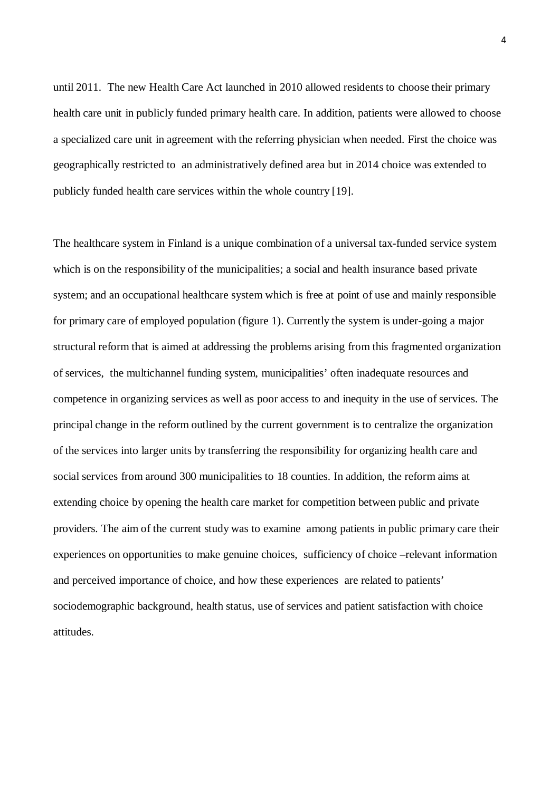until 2011. The new Health Care Act launched in 2010 allowed residents to choose their primary health care unit in publicly funded primary health care. In addition, patients were allowed to choose a specialized care unit in agreement with the referring physician when needed. First the choice was geographically restricted to an administratively defined area but in 2014 choice was extended to publicly funded health care services within the whole country [\[19\].](#page-14-9)

The healthcare system in Finland is a unique combination of a universal tax-funded service system which is on the responsibility of the municipalities; a social and health insurance based private system; and an occupational healthcare system which is free at point of use and mainly responsible for primary care of employed population (figure 1). Currently the system is under-going a major structural reform that is aimed at addressing the problems arising from this fragmented organization of services, the multichannel funding system, municipalities' often inadequate resources and competence in organizing services as well as poor access to and inequity in the use of services. The principal change in the reform outlined by the current government is to centralize the organization of the services into larger units by transferring the responsibility for organizing health care and social services from around 300 municipalities to 18 counties. In addition, the reform aims at extending choice by opening the health care market for competition between public and private providers. The aim of the current study was to examine among patients in public primary care their experiences on opportunities to make genuine choices, sufficiency of choice –relevant information and perceived importance of choice, and how these experiences are related to patients' sociodemographic background, health status, use of services and patient satisfaction with choice attitudes.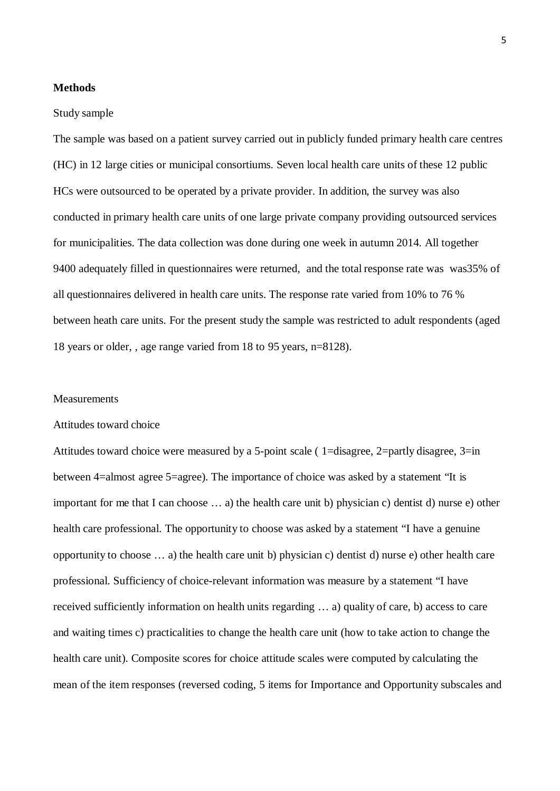### **Methods**

#### Study sample

The sample was based on a patient survey carried out in publicly funded primary health care centres (HC) in 12 large cities or municipal consortiums. Seven local health care units of these 12 public HCs were outsourced to be operated by a private provider. In addition, the survey was also conducted in primary health care units of one large private company providing outsourced services for municipalities. The data collection was done during one week in autumn 2014. All together 9400 adequately filled in questionnaires were returned, and the total response rate was was35% of all questionnaires delivered in health care units. The response rate varied from 10% to 76 % between heath care units. For the present study the sample was restricted to adult respondents (aged 18 years or older, , age range varied from 18 to 95 years, n=8128).

#### **Measurements**

#### Attitudes toward choice

Attitudes toward choice were measured by a 5-point scale ( 1=disagree, 2=partly disagree, 3=in between 4=almost agree 5=agree). The importance of choice was asked by a statement "It is important for me that I can choose … a) the health care unit b) physician c) dentist d) nurse e) other health care professional. The opportunity to choose was asked by a statement "I have a genuine opportunity to choose … a) the health care unit b) physician c) dentist d) nurse e) other health care professional. Sufficiency of choice-relevant information was measure by a statement "I have received sufficiently information on health units regarding … a) quality of care, b) access to care and waiting times c) practicalities to change the health care unit (how to take action to change the health care unit). Composite scores for choice attitude scales were computed by calculating the mean of the item responses (reversed coding, 5 items for Importance and Opportunity subscales and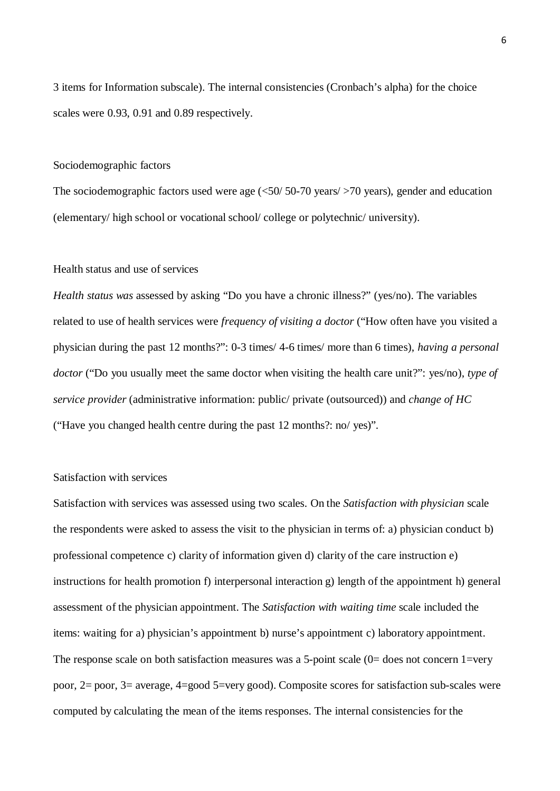3 items for Information subscale). The internal consistencies (Cronbach's alpha) for the choice scales were 0.93, 0.91 and 0.89 respectively.

#### Sociodemographic factors

The sociodemographic factors used were age  $\left(\frac{50}{50} - 70 \text{ years}\right)$   $\left(\frac{20}{50} - 70 \text{ years}\right)$ , gender and education (elementary/ high school or vocational school/ college or polytechnic/ university).

### Health status and use of services

*Health status was* assessed by asking "Do you have a chronic illness?" (yes/no). The variables related to use of health services were *frequency of visiting a doctor* ("How often have you visited a physician during the past 12 months?": 0-3 times/ 4-6 times/ more than 6 times), *having a personal doctor* ("Do you usually meet the same doctor when visiting the health care unit?": yes/no), *type of service provider* (administrative information: public/ private (outsourced)) and *change of HC* ("Have you changed health centre during the past 12 months?: no/ yes)".

### Satisfaction with services

Satisfaction with services was assessed using two scales. On the *Satisfaction with physician* scale the respondents were asked to assess the visit to the physician in terms of: a) physician conduct b) professional competence c) clarity of information given d) clarity of the care instruction e) instructions for health promotion f) interpersonal interaction g) length of the appointment h) general assessment of the physician appointment. The *Satisfaction with waiting time* scale included the items: waiting for a) physician's appointment b) nurse's appointment c) laboratory appointment. The response scale on both satisfaction measures was a 5-point scale (0= does not concern 1=very poor, 2= poor, 3= average, 4=good 5=very good). Composite scores for satisfaction sub-scales were computed by calculating the mean of the items responses. The internal consistencies for the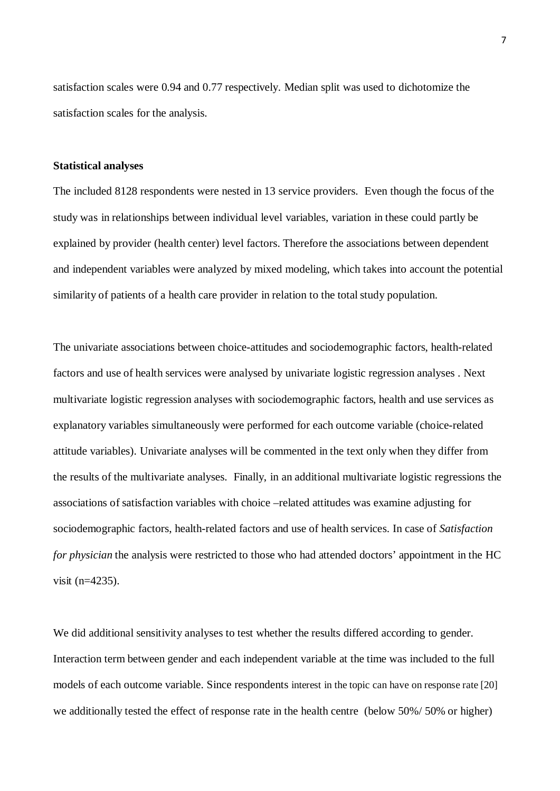satisfaction scales were 0.94 and 0.77 respectively. Median split was used to dichotomize the satisfaction scales for the analysis.

#### **Statistical analyses**

The included 8128 respondents were nested in 13 service providers. Even though the focus of the study was in relationships between individual level variables, variation in these could partly be explained by provider (health center) level factors. Therefore the associations between dependent and independent variables were analyzed by mixed modeling, which takes into account the potential similarity of patients of a health care provider in relation to the total study population.

The univariate associations between choice-attitudes and sociodemographic factors, health-related factors and use of health services were analysed by univariate logistic regression analyses . Next multivariate logistic regression analyses with sociodemographic factors, health and use services as explanatory variables simultaneously were performed for each outcome variable (choice-related attitude variables). Univariate analyses will be commented in the text only when they differ from the results of the multivariate analyses. Finally, in an additional multivariate logistic regressions the associations of satisfaction variables with choice –related attitudes was examine adjusting for sociodemographic factors, health-related factors and use of health services. In case of *Satisfaction for physician* the analysis were restricted to those who had attended doctors' appointment in the HC visit (n=4235).

We did additional sensitivity analyses to test whether the results differed according to gender. Interaction term between gender and each independent variable at the time was included to the full models of each outcome variable. Since respondents interest in the topic can have on response rate [\[20\]](#page-14-10) we additionally tested the effect of response rate in the health centre (below 50%/ 50% or higher)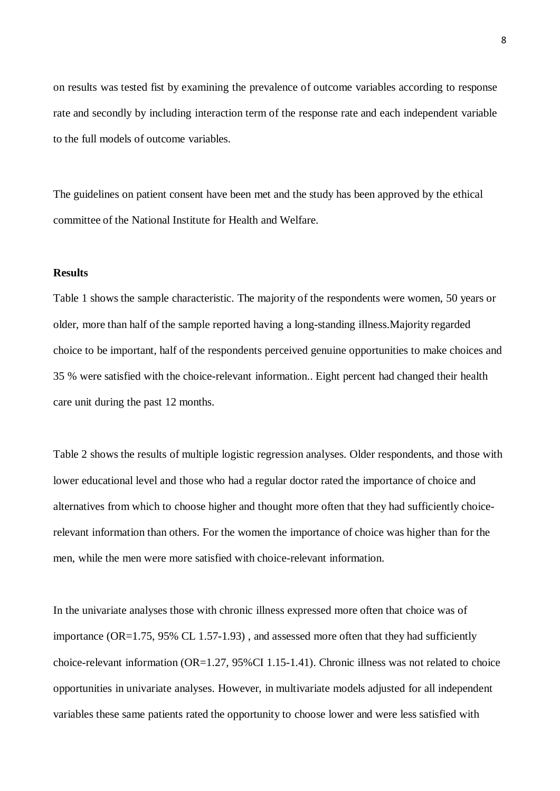on results was tested fist by examining the prevalence of outcome variables according to response rate and secondly by including interaction term of the response rate and each independent variable to the full models of outcome variables.

The guidelines on patient consent have been met and the study has been approved by the ethical committee of the National Institute for Health and Welfare.

### **Results**

Table 1 shows the sample characteristic. The majority of the respondents were women, 50 years or older, more than half of the sample reported having a long-standing illness.Majority regarded choice to be important, half of the respondents perceived genuine opportunities to make choices and 35 % were satisfied with the choice-relevant information.. Eight percent had changed their health care unit during the past 12 months.

Table 2 shows the results of multiple logistic regression analyses. Older respondents, and those with lower educational level and those who had a regular doctor rated the importance of choice and alternatives from which to choose higher and thought more often that they had sufficiently choicerelevant information than others. For the women the importance of choice was higher than for the men, while the men were more satisfied with choice-relevant information.

In the univariate analyses those with chronic illness expressed more often that choice was of importance (OR=1.75, 95% CL 1.57-1.93) , and assessed more often that they had sufficiently choice-relevant information (OR=1.27, 95%CI 1.15-1.41). Chronic illness was not related to choice opportunities in univariate analyses. However, in multivariate models adjusted for all independent variables these same patients rated the opportunity to choose lower and were less satisfied with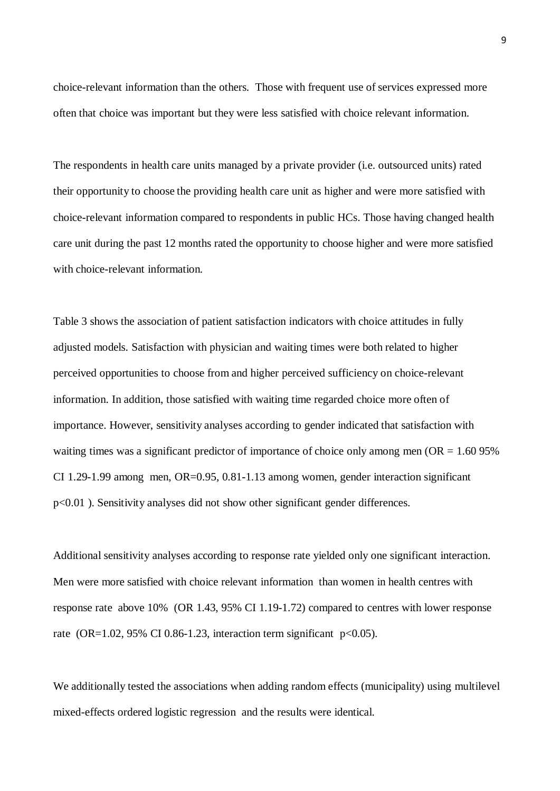choice-relevant information than the others. Those with frequent use of services expressed more often that choice was important but they were less satisfied with choice relevant information.

The respondents in health care units managed by a private provider (i.e. outsourced units) rated their opportunity to choose the providing health care unit as higher and were more satisfied with choice-relevant information compared to respondents in public HCs. Those having changed health care unit during the past 12 months rated the opportunity to choose higher and were more satisfied with choice-relevant information.

Table 3 shows the association of patient satisfaction indicators with choice attitudes in fully adjusted models. Satisfaction with physician and waiting times were both related to higher perceived opportunities to choose from and higher perceived sufficiency on choice-relevant information. In addition, those satisfied with waiting time regarded choice more often of importance. However, sensitivity analyses according to gender indicated that satisfaction with waiting times was a significant predictor of importance of choice only among men (OR = 1.60 95%) CI 1.29-1.99 among men, OR=0.95, 0.81-1.13 among women, gender interaction significant p<0.01 ). Sensitivity analyses did not show other significant gender differences.

Additional sensitivity analyses according to response rate yielded only one significant interaction. Men were more satisfied with choice relevant information than women in health centres with response rate above 10% (OR 1.43, 95% CI 1.19-1.72) compared to centres with lower response rate (OR=1.02, 95% CI 0.86-1.23, interaction term significant  $p<0.05$ ).

We additionally tested the associations when adding random effects (municipality) using multilevel mixed-effects ordered logistic regression and the results were identical.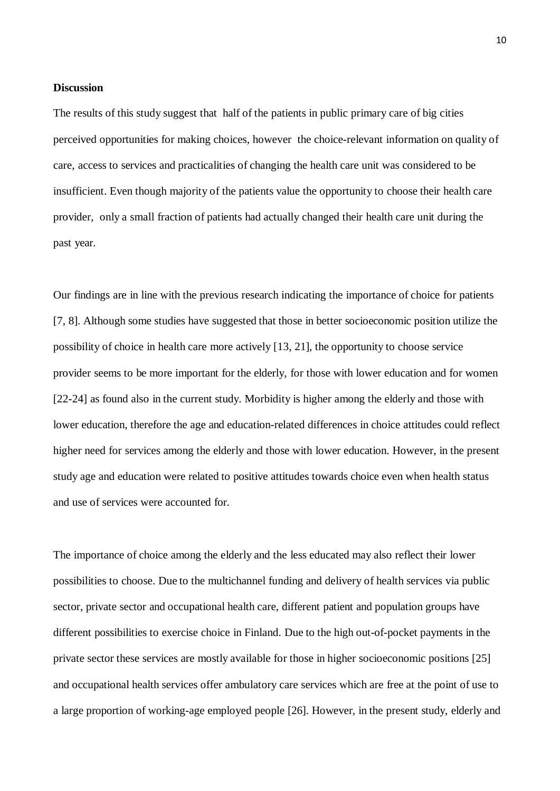### **Discussion**

The results of this study suggest that half of the patients in public primary care of big cities perceived opportunities for making choices, however the choice-relevant information on quality of care, access to services and practicalities of changing the health care unit was considered to be insufficient. Even though majority of the patients value the opportunity to choose their health care provider, only a small fraction of patients had actually changed their health care unit during the past year.

Our findings are in line with the previous research indicating the importance of choice for patients [\[7,](#page-13-5) [8\].](#page-13-6) Although some studies have suggested that those in better socioeconomic position utilize the possibility of choice in health care more actively [\[13,](#page-14-3) [21\],](#page-14-11) the opportunity to choose service provider seems to be more important for the elderly, for those with lower education and for women [\[22-24\]](#page-14-12) as found also in the current study. Morbidity is higher among the elderly and those with lower education, therefore the age and education-related differences in choice attitudes could reflect higher need for services among the elderly and those with lower education. However, in the present study age and education were related to positive attitudes towards choice even when health status and use of services were accounted for.

The importance of choice among the elderly and the less educated may also reflect their lower possibilities to choose. Due to the multichannel funding and delivery of health services via public sector, private sector and occupational health care, different patient and population groups have different possibilities to exercise choice in Finland. Due to the high out-of-pocket payments in the private sector these services are mostly available for those in higher socioeconomic positions [\[25\]](#page-14-13) and occupational health services offer ambulatory care services which are free at the point of use to a large proportion of working-age employed people [\[26\]](#page-14-14). However, in the present study, elderly and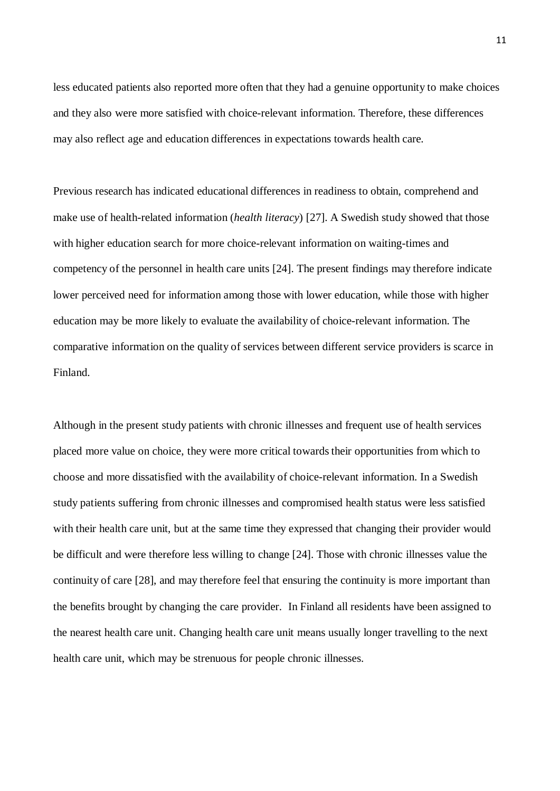less educated patients also reported more often that they had a genuine opportunity to make choices and they also were more satisfied with choice-relevant information. Therefore, these differences may also reflect age and education differences in expectations towards health care.

Previous research has indicated educational differences in readiness to obtain, comprehend and make use of health-related information (*health literacy*) [\[27\]](#page-14-15). A Swedish study showed that those with higher education search for more choice-relevant information on waiting-times and competency of the personnel in health care units [\[24\]](#page-14-16). The present findings may therefore indicate lower perceived need for information among those with lower education, while those with higher education may be more likely to evaluate the availability of choice-relevant information. The comparative information on the quality of services between different service providers is scarce in Finland.

Although in the present study patients with chronic illnesses and frequent use of health services placed more value on choice, they were more critical towards their opportunities from which to choose and more dissatisfied with the availability of choice-relevant information. In a Swedish study patients suffering from chronic illnesses and compromised health status were less satisfied with their health care unit, but at the same time they expressed that changing their provider would be difficult and were therefore less willing to change [\[24\]](#page-14-16). Those with chronic illnesses value the continuity of care [\[28\],](#page-14-17) and may therefore feel that ensuring the continuity is more important than the benefits brought by changing the care provider. In Finland all residents have been assigned to the nearest health care unit. Changing health care unit means usually longer travelling to the next health care unit, which may be strenuous for people chronic illnesses.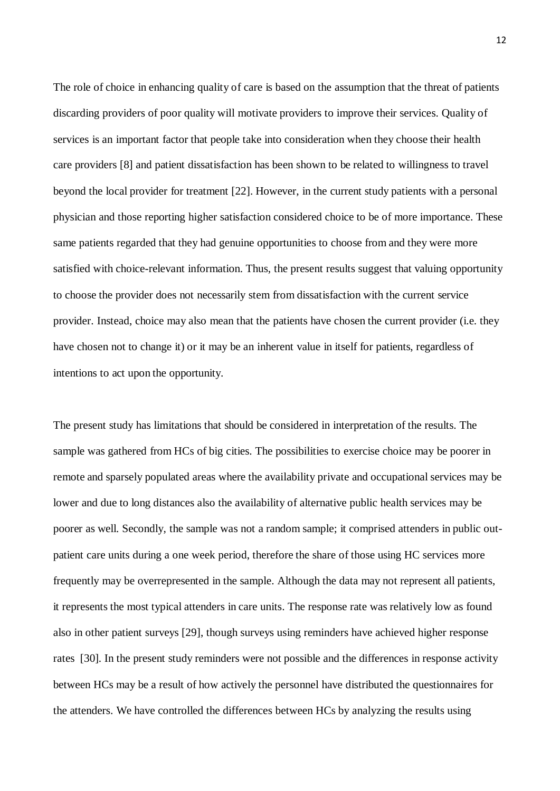The role of choice in enhancing quality of care is based on the assumption that the threat of patients discarding providers of poor quality will motivate providers to improve their services. Quality of services is an important factor that people take into consideration when they choose their health care providers [\[8\]](#page-13-6) and patient dissatisfaction has been shown to be related to willingness to travel beyond the local provider for treatment [\[22\].](#page-14-12) However, in the current study patients with a personal physician and those reporting higher satisfaction considered choice to be of more importance. These same patients regarded that they had genuine opportunities to choose from and they were more satisfied with choice-relevant information. Thus, the present results suggest that valuing opportunity to choose the provider does not necessarily stem from dissatisfaction with the current service provider. Instead, choice may also mean that the patients have chosen the current provider (i.e. they have chosen not to change it) or it may be an inherent value in itself for patients, regardless of intentions to act upon the opportunity.

The present study has limitations that should be considered in interpretation of the results. The sample was gathered from HCs of big cities. The possibilities to exercise choice may be poorer in remote and sparsely populated areas where the availability private and occupational services may be lower and due to long distances also the availability of alternative public health services may be poorer as well. Secondly, the sample was not a random sample; it comprised attenders in public outpatient care units during a one week period, therefore the share of those using HC services more frequently may be overrepresented in the sample. Although the data may not represent all patients, it represents the most typical attenders in care units. The response rate was relatively low as found also in other patient surveys [\[29\],](#page-15-0) though surveys using reminders have achieved higher response rates [\[30\].](#page-15-1) In the present study reminders were not possible and the differences in response activity between HCs may be a result of how actively the personnel have distributed the questionnaires for the attenders. We have controlled the differences between HCs by analyzing the results using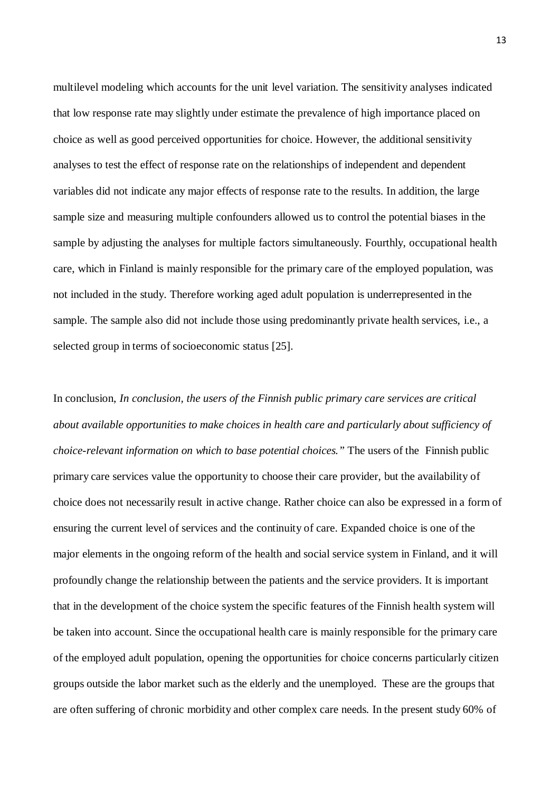multilevel modeling which accounts for the unit level variation. The sensitivity analyses indicated that low response rate may slightly under estimate the prevalence of high importance placed on choice as well as good perceived opportunities for choice. However, the additional sensitivity analyses to test the effect of response rate on the relationships of independent and dependent variables did not indicate any major effects of response rate to the results. In addition, the large sample size and measuring multiple confounders allowed us to control the potential biases in the sample by adjusting the analyses for multiple factors simultaneously. Fourthly, occupational health care, which in Finland is mainly responsible for the primary care of the employed population, was not included in the study. Therefore working aged adult population is underrepresented in the sample. The sample also did not include those using predominantly private health services, i.e., a selected group in terms of socioeconomic status [\[25\].](#page-14-13)

In conclusion, *In conclusion, the users of the Finnish public primary care services are critical about available opportunities to make choices in health care and particularly about sufficiency of choice-relevant information on which to base potential choices."* The users of the Finnish public primary care services value the opportunity to choose their care provider, but the availability of choice does not necessarily result in active change. Rather choice can also be expressed in a form of ensuring the current level of services and the continuity of care. Expanded choice is one of the major elements in the ongoing reform of the health and social service system in Finland, and it will profoundly change the relationship between the patients and the service providers. It is important that in the development of the choice system the specific features of the Finnish health system will be taken into account. Since the occupational health care is mainly responsible for the primary care of the employed adult population, opening the opportunities for choice concerns particularly citizen groups outside the labor market such as the elderly and the unemployed. These are the groups that are often suffering of chronic morbidity and other complex care needs. In the present study 60% of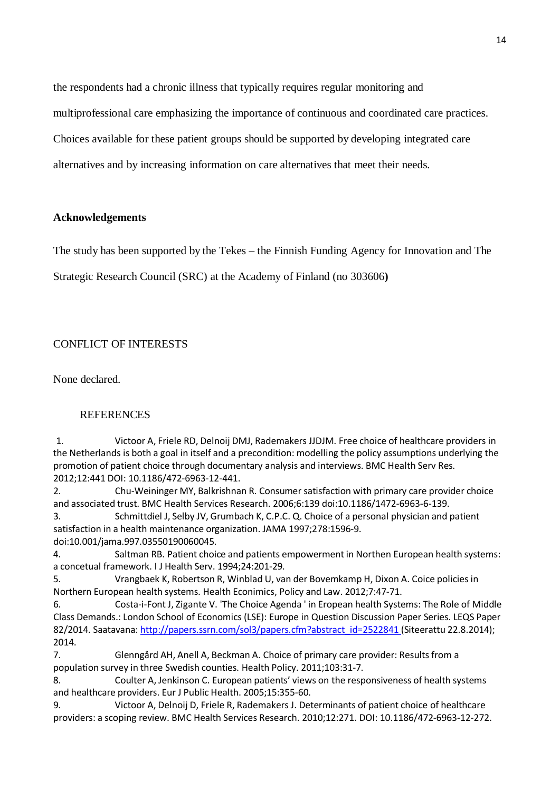the respondents had a chronic illness that typically requires regular monitoring and

multiprofessional care emphasizing the importance of continuous and coordinated care practices.

Choices available for these patient groups should be supported by developing integrated care

alternatives and by increasing information on care alternatives that meet their needs.

### **Acknowledgements**

The study has been supported by the Tekes – the Finnish Funding Agency for Innovation and The

Strategic Research Council (SRC) at the Academy of Finland (no 303606**)**

# CONFLICT OF INTERESTS

None declared.

### **REFERENCES**

1. Victoor A, Friele RD, Delnoij DMJ, Rademakers JJDJM. Free choice of healthcare providers in the Netherlands is both a goal in itself and a precondition: modelling the policy assumptions underlying the promotion of patient choice through documentary analysis and interviews. BMC Health Serv Res. 2012;12:441 DOI: 10.1186/472-6963-12-441.

<span id="page-13-0"></span>2. Chu-Weininger MY, Balkrishnan R. Consumersatisfaction with primary care provider choice and associated trust. BMC Health Services Research. 2006;6:139 doi:10.1186/1472-6963-6-139.

<span id="page-13-1"></span>3. Schmittdiel J, Selby JV, Grumbach K, C.P.C. Q. Choice of a personal physician and patient satisfaction in a health maintenance organization. JAMA 1997;278:1596-9. doi:10.001/jama.997.03550190060045.

<span id="page-13-2"></span>4. Saltman RB. Patient choice and patients empowermentin Northen European health systems: a concetual framework. I J Health Serv. 1994;24:201-29.

<span id="page-13-3"></span>5. Vrangbaek K, Robertson R, Winblad U, van der Bovemkamp H, Dixon A. Coice policies in Northern European health systems. Health Econimics, Policy and Law. 2012;7:47-71.

<span id="page-13-4"></span>6. Costa-i-Font J, Zigante V. 'The Choice Agenda ' in Eropean health Systems: The Role of Middle Class Demands.: London School of Economics (LSE): Europe in Question Discussion Paper Series. LEQS Paper 82/2014. Saatavana: [http://papers.ssrn.com/sol3/papers.cfm?abstract\\_id=2522841](http://papers.ssrn.com/sol3/papers.cfm?abstract_id=2522841) (Siteerattu 22.8.2014); 2014.

<span id="page-13-5"></span>7. Glenngård AH, Anell A, Beckman A. Choice of primary care provider: Results from a population survey in three Swedish counties. Health Policy. 2011;103:31-7.

<span id="page-13-6"></span>8. Coulter A, Jenkinson C. European patients' views on the responsiveness of health systems and healthcare providers. Eur J Public Health. 2005;15:355-60.

<span id="page-13-7"></span>9. Victoor A, Delnoij D, Friele R, Rademakers J. Determinants of patient choice of healthcare providers: a scoping review. BMC Health Services Research. 2010;12:271. DOI: 10.1186/472-6963-12-272.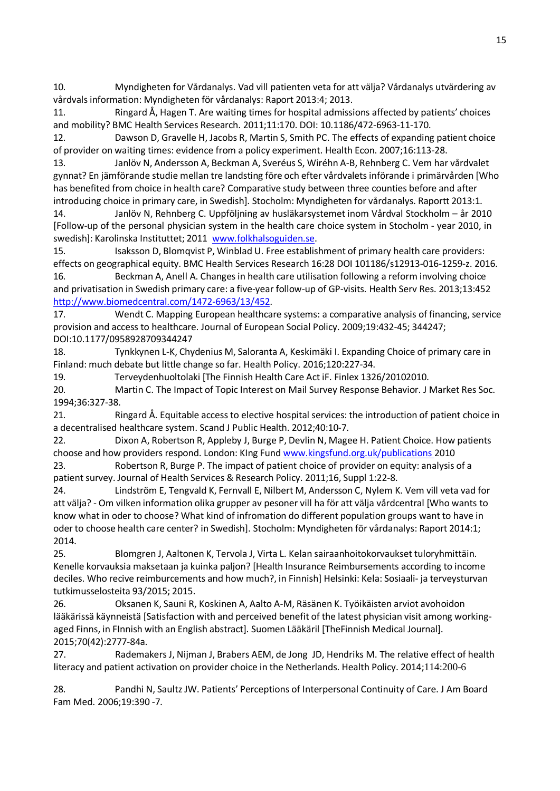<span id="page-14-0"></span>10. Myndigheten for Vårdanalys. Vad vill patienten veta for att välja? Vårdanalys utvärdering av vårdvals information: Myndigheten för vårdanalys: Raport 2013:4; 2013.

<span id="page-14-1"></span>11. Ringard Å, Hagen T. Are waiting times for hospital admissions affected by patients' choices and mobility? BMC Health Services Research. 2011;11:170. DOI: 10.1186/472-6963-11-170.

<span id="page-14-2"></span>12. Dawson D, Gravelle H, Jacobs R, Martin S, Smith PC. The effects of expanding patient choice of provider on waiting times: evidence from a policy experiment. Health Econ. 2007;16:113-28.

<span id="page-14-3"></span>13. Janlöv N, Andersson A, Beckman A, Sveréus S, Wiréhn A-B, Rehnberg C. Vem har vårdvalet gynnat? En jämförande studie mellan tre landsting före och efter vårdvalets införande i primärvården [Who has benefited from choice in health care? Comparative study between three counties before and after introducing choice in primary care, in Swedish]. Stocholm: Myndigheten for vårdanalys. Raportt 2013:1.

<span id="page-14-4"></span>14. Janlöv N, Rehnberg C. Uppföljning av husläkarsystemet inom Vårdval Stockholm – år 2010 [Follow-up of the personal physician system in the health care choice system in Stocholm - year 2010, in swedish]: Karolinska Instituttet; 2011 [www.folkhalsoguiden.se.](http://www.folkhalsoguiden.se/)

<span id="page-14-5"></span>15. Isaksson D, Blomqvist P, Winblad U. Free establishment of primary health care providers: effects on geographical equity. BMC Health Services Research 16:28 DOI 101186/s12913-016-1259-z. 2016. 16. Beckman A, Anell A. Changes in health care utilisation following a reform involving choice

<span id="page-14-6"></span>and privatisation in Swedish primary care: a five-year follow-up of GP-visits. Health Serv Res. 2013;13:452 [http://www.biomedcentral.com/1472-6963/13/452.](http://www.biomedcentral.com/1472-6963/13/452)

<span id="page-14-7"></span>17. Wendt C. Mapping European healthcare systems: a comparative analysis of financing, service provision and access to healthcare. Journal of European Social Policy. 2009;19:432-45; 344247; DOI:10.1177/0958928709344247

<span id="page-14-8"></span>18. Tynkkynen L-K, Chydenius M, Saloranta A, Keskimäki I. Expanding Choice of primary care in Finland: much debate but little change so far. Health Policy. 2016;120:227-34.

<span id="page-14-9"></span>19. Terveydenhuoltolaki [The Finnish Health Care Act iF. Finlex 1326/20102010.

<span id="page-14-10"></span>20. Martin C. The Impact of Topic Interest on Mail Survey Response Behavior. J Market Res Soc. 1994;36:327-38.

<span id="page-14-11"></span>21. Ringard Å. Equitable access to elective hospital services: the introduction of patient choice in a decentralised healthcare system. Scand J Public Health. 2012;40:10-7.

<span id="page-14-12"></span>22. Dixon A, Robertson R, Appleby J, Burge P, Devlin N, Magee H. Patient Choice. How patients choose and how providers respond. London: KIng Fund [www.kingsfund.org.uk/publications](http://www.kingsfund.org.uk/publications) 2010

23. Robertson R, Burge P. The impact of patient choice of provider on equity: analysis of a patient survey. Journal of Health Services & Research Policy. 2011;16, Suppl 1:22-8.

<span id="page-14-16"></span>24. Lindström E, Tengvald K, Fernvall E, Nilbert M, Andersson C, Nylem K. Vem vill veta vad for att välja? - Om vilken information olika grupper av pesoner vill ha för att välja vårdcentral [Who wants to know what in oder to choose? What kind of infromation do different population groups want to have in oder to choose health care center? in Swedish]. Stocholm: Myndigheten för vårdanalys: Raport 2014:1; 2014.

<span id="page-14-13"></span>25. Blomgren J, Aaltonen K, Tervola J, Virta L. Kelan sairaanhoitokorvaukset tuloryhmittäin. Kenelle korvauksia maksetaan ja kuinka paljon? [Health Insurance Reimbursements according to income deciles. Who recive reimburcements and how much?, in Finnish] Helsinki: Kela: Sosiaali- ja terveysturvan tutkimusselosteita 93/2015; 2015.

<span id="page-14-14"></span>26. Oksanen K, Sauni R, Koskinen A, Aalto A-M, Räsänen K. Työikäisten arviot avohoidon lääkärissä käynneistä [Satisfaction with and perceived benefit of the latest physician visit among workingaged Finns, in FInnish with an English abstract]. Suomen Lääkäril [TheFinnish Medical Journal]. 2015;70(42):2777-84a.

<span id="page-14-15"></span>27. Rademakers J, Nijman J, Brabers AEM, de Jong JD, Hendriks M. The relative effect of health literacy and patient activation on provider choice in the Netherlands. Health Policy. 2014;114:200-6

<span id="page-14-17"></span>28. Pandhi N, SaultzJW. Patients' Perceptions of Interpersonal Continuity of Care. J Am Board Fam Med. 2006;19:390 -7.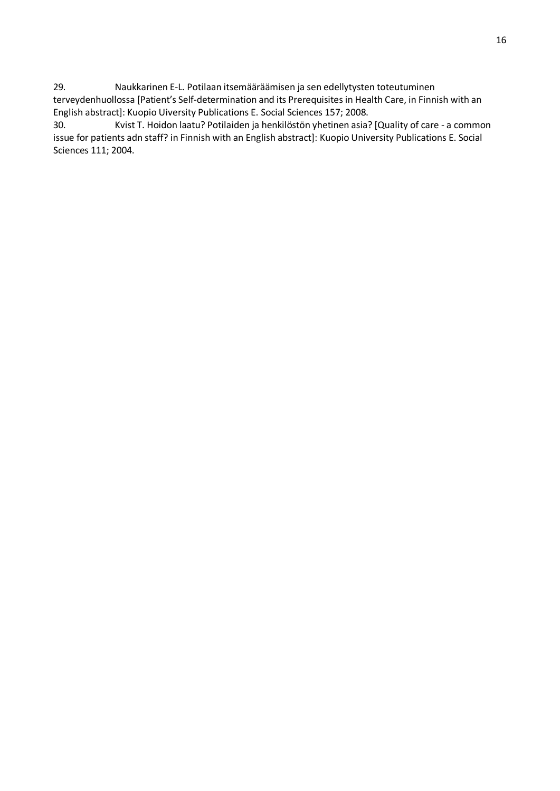<span id="page-15-0"></span>29. Naukkarinen E-L. Potilaan itsemääräämisen ja sen edellytysten toteutuminen terveydenhuollossa [Patient's Self-determination and its Prerequisites in Health Care, in Finnish with an English abstract]: Kuopio Uiversity Publications E. Social Sciences 157; 2008.

<span id="page-15-1"></span>30. Kvist T. Hoidon laatu? Potilaiden ja henkilöstön yhetinen asia? [Quality of care - a common issue for patients adn staff? in Finnish with an English abstract]: Kuopio University Publications E. Social Sciences 111; 2004.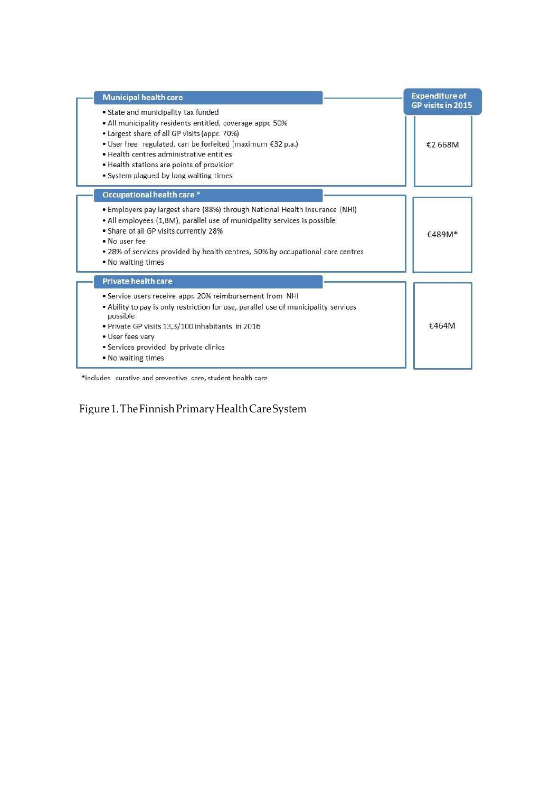| <b>Municipal health care</b>                                                                    | <b>Expenditure of</b> |
|-------------------------------------------------------------------------------------------------|-----------------------|
| • State and municipality tax funded                                                             | GP visits in 2015     |
| • All municipality residents entitled, coverage appr. 50%                                       |                       |
| • Largest share of all GP visits (appr. 70%)                                                    |                       |
| • User free regulated, can be forfeited (maximum €32 p.a.)                                      | £2668M                |
| . Health centres administrative entities                                                        |                       |
| • Health stations are points of provision                                                       |                       |
| • System plagued by long waiting times                                                          |                       |
| Occupational health care *                                                                      |                       |
| • Employers pay largest share (88%) through National Health Insurance (NHI)                     |                       |
| • All employees (1,8M), parallel use of municipality services is possible                       |                       |
| • Share of all GP visits currently 28%                                                          | €489M <sup>*</sup>    |
| · No user fee                                                                                   |                       |
| • 28% of services provided by health centres, 50% by occupational care centres                  |                       |
| . No waiting times                                                                              |                       |
| Private health care                                                                             |                       |
| • Service users receive appr. 20% reimbursement from NHI                                        |                       |
| . Ability to pay is only restriction for use, parallel use of municipality services<br>possible |                       |
| . Private GP visits 13,3/100 inhabitants in 2016                                                | €464M                 |
| • User fees vary                                                                                |                       |
| • Services provided by private clinics                                                          |                       |
| . No waiting times                                                                              |                       |

\*includes curative and preventive care, student health care

Figure1.TheFinnishPrimaryHealthCareSystem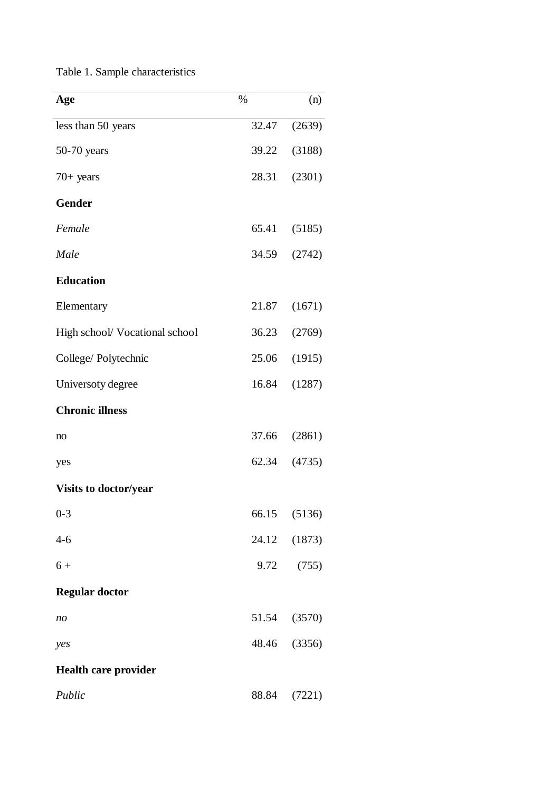|  |  | Table 1. Sample characteristics |  |  |
|--|--|---------------------------------|--|--|
|--|--|---------------------------------|--|--|

| Age                            | $\%$  | (n)    |
|--------------------------------|-------|--------|
| less than 50 years             | 32.47 | (2639) |
| $50-70$ years                  | 39.22 | (3188) |
| $70+$ years                    | 28.31 | (2301) |
| <b>Gender</b>                  |       |        |
| Female                         | 65.41 | (5185) |
| Male                           | 34.59 | (2742) |
| <b>Education</b>               |       |        |
| Elementary                     | 21.87 | (1671) |
| High school/ Vocational school | 36.23 | (2769) |
| College/Polytechnic            | 25.06 | (1915) |
| Universoty degree              | 16.84 | (1287) |
| <b>Chronic illness</b>         |       |        |
| no                             | 37.66 | (2861) |
| yes                            | 62.34 | (4735) |
| <b>Visits to doctor/year</b>   |       |        |
| $0 - 3$                        | 66.15 | (5136) |
| $4 - 6$                        | 24.12 | (1873) |
| $6+$                           | 9.72  | (755)  |
| <b>Regular doctor</b>          |       |        |
| n <sub>O</sub>                 | 51.54 | (3570) |
| yes                            | 48.46 | (3356) |
| Health care provider           |       |        |
| Public                         | 88.84 | (7221) |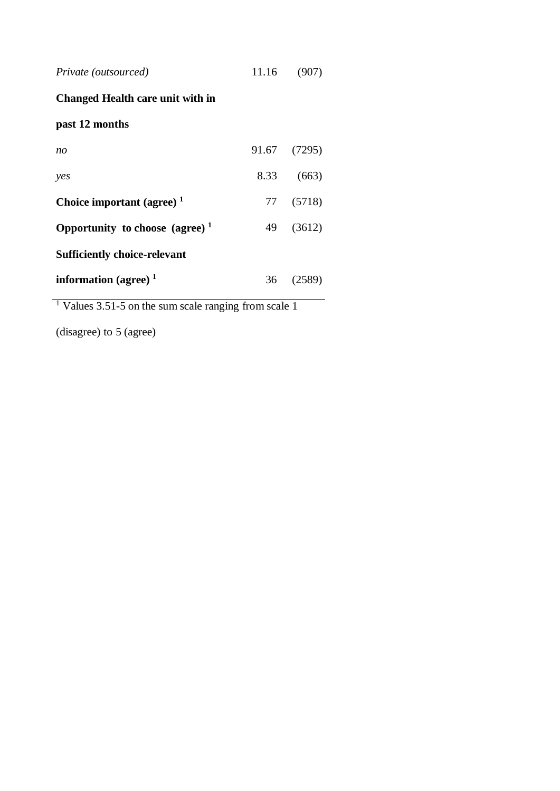| Private (outsourced) | 11.16 | (907) |
|----------------------|-------|-------|
|----------------------|-------|-------|

# **Changed Health care unit with in**

# **past 12 months**

| no                                  |    | 91.67 (7295) |
|-------------------------------------|----|--------------|
| yes                                 |    | 8.33 (663)   |
| Choice important (agree) $1$        |    | 77 (5718)    |
| Opportunity to choose (agree) $1$   | 49 | (3612)       |
| <b>Sufficiently choice-relevant</b> |    |              |
| information (agree) $1$             |    | 36 (2589)    |

<sup>1</sup> Values 3.51-5 on the sum scale ranging from scale 1

(disagree) to 5 (agree)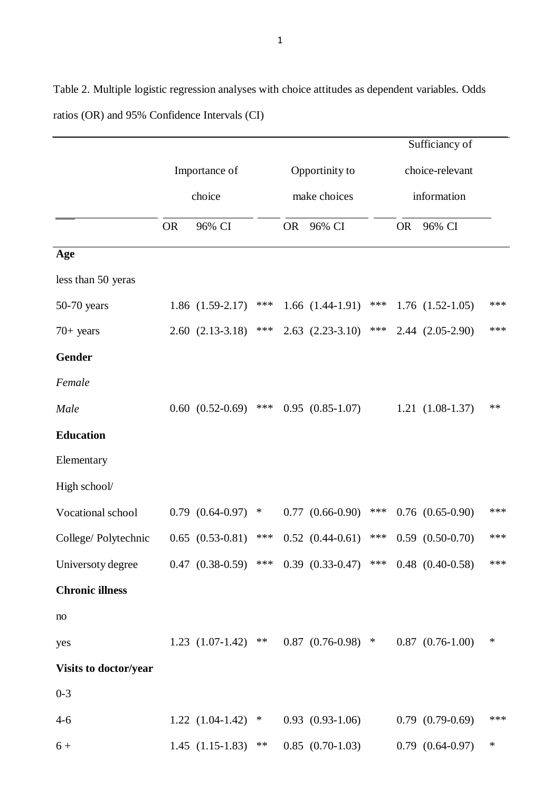Sufficiancy of Importance of choice Opportinity to make choices choice-relevant information OR 96% CI OR 96% CI OR 96% CI **Age** less than 50 yeras 50-70 years 1.86 (1.59-2.17) \*\*\* 1.66 (1.44-1.91) \*\*\* 1.76 (1.52-1.05) \*\*\* 70+ years 2.60 (2.13-3.18) \*\*\* 2.63 (2.23-3.10) \*\*\* 2.44 (2.05-2.90) \*\*\* **Gender** *Female Male* 0.60 (0.52-0.69) \*\*\* 0.95 (0.85-1.07) 1.21 (1.08-1.37) \*\* **Education**  Elementary High school/ Vocational school  $0.79 (0.64-0.97) * 0.77 (0.66-0.90) ** 0.76 (0.65-0.90)$ College/ Polytechnic 0.65 (0.53-0.81) \*\*\* 0.52 (0.44-0.61) \*\*\* 0.59 (0.50-0.70) \*\*\* Universoty degree  $0.47 (0.38-0.59)$  \*\*\*  $0.39 (0.33-0.47)$  \*\*\*  $0.48 (0.40-0.58)$  \*\*\* **Chronic illness** no yes 1.23 (1.07-1.42) \*\* 0.87 (0.76-0.98) \* 0.87 (0.76-1.00) \* **Visits to doctor/year** 0-3 4-6 1.22 (1.04-1.42) \* 0.93 (0.93-1.06) 0.79 (0.79-0.69) \*\*\*  $6 + 1.45 (1.15-1.83)$  \*\*  $0.85 (0.70-1.03)$  0.79  $(0.64-0.97)$  \*

Table 2. Multiple logistic regression analyses with choice attitudes as dependent variables. Odds ratios (OR) and 95% Confidence Intervals (CI)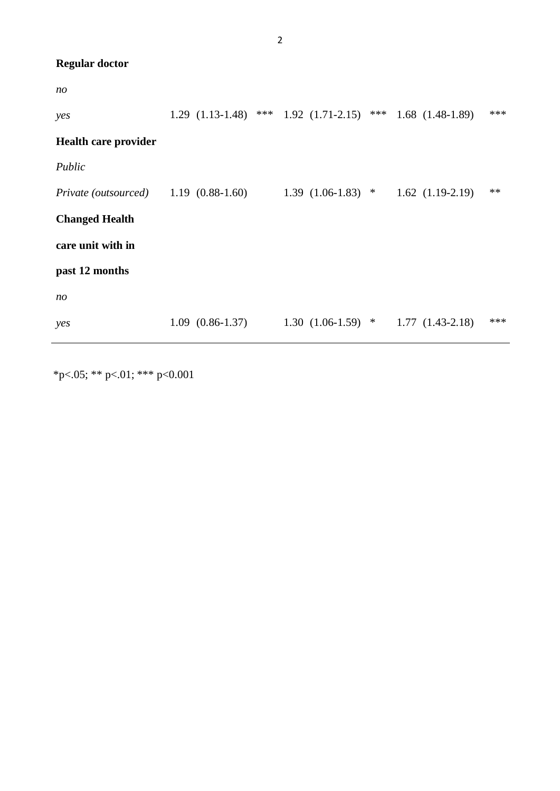| <b>Regular doctor</b> |  |
|-----------------------|--|
|-----------------------|--|

| no                                             |                                                   |                     |                      |       |
|------------------------------------------------|---------------------------------------------------|---------------------|----------------------|-------|
| yes                                            | $1.29$ $(1.13-1.48)$ *** $1.92$ $(1.71-2.15)$ *** |                     | $1.68$ $(1.48-1.89)$ | ***   |
| <b>Health care provider</b>                    |                                                   |                     |                      |       |
| Public                                         |                                                   |                     |                      |       |
| <i>Private (outsourced)</i> $1.19$ (0.88-1.60) |                                                   | $1.39(1.06-1.83)$ * | $1.62$ $(1.19-2.19)$ | $***$ |
| <b>Changed Health</b>                          |                                                   |                     |                      |       |
| care unit with in                              |                                                   |                     |                      |       |
| past 12 months                                 |                                                   |                     |                      |       |
| no                                             |                                                   |                     |                      |       |
| yes                                            | $1.09(0.86-1.37)$                                 | $1.30(1.06-1.59)$ * | $1.77(1.43-2.18)$    | ***   |

\*p<.05; \*\* p<.01; \*\*\* p<0.001